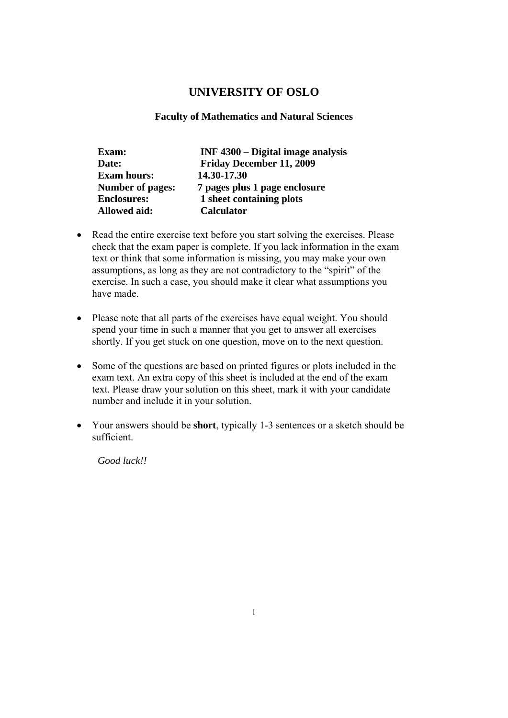## **UNIVERSITY OF OSLO**

### **Faculty of Mathematics and Natural Sciences**

| Exam:                   | INF 4300 – Digital image analysis |
|-------------------------|-----------------------------------|
| Date:                   | <b>Friday December 11, 2009</b>   |
| <b>Exam hours:</b>      | 14.30-17.30                       |
| <b>Number of pages:</b> | 7 pages plus 1 page enclosure     |
| <b>Enclosures:</b>      | 1 sheet containing plots          |
| <b>Allowed aid:</b>     | <b>Calculator</b>                 |

- Read the entire exercise text before you start solving the exercises. Please check that the exam paper is complete. If you lack information in the exam text or think that some information is missing, you may make your own assumptions, as long as they are not contradictory to the "spirit" of the exercise. In such a case, you should make it clear what assumptions you have made.
- Please note that all parts of the exercises have equal weight. You should spend your time in such a manner that you get to answer all exercises shortly. If you get stuck on one question, move on to the next question.
- Some of the questions are based on printed figures or plots included in the exam text. An extra copy of this sheet is included at the end of the exam text. Please draw your solution on this sheet, mark it with your candidate number and include it in your solution.
- Your answers should be **short**, typically 1-3 sentences or a sketch should be sufficient.

*Good luck!!*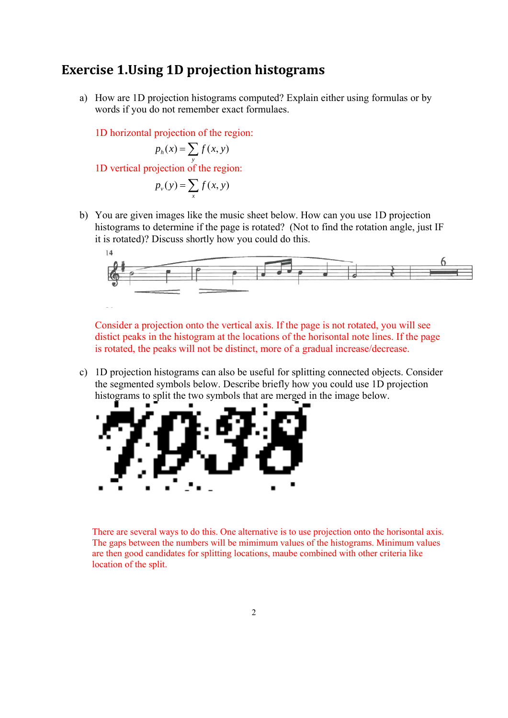## **Exercise 1.Using 1D projection histograms**

a) How are 1D projection histograms computed? Explain either using formulas or by words if you do not remember exact formulaes.

1D horizontal projection of the region:

$$
p_h(x) = \sum_{y} f(x, y)
$$

1D vertical projection of the region: *y*

$$
p_{\nu}(y) = \sum_{x} f(x, y)
$$

b) You are given images like the music sheet below. How can you use 1D projection histograms to determine if the page is rotated? (Not to find the rotation angle, just IF it is rotated)? Discuss shortly how you could do this.



Consider a projection onto the vertical axis. If the page is not rotated, you will see distict peaks in the histogram at the locations of the horisontal note lines. If the page is rotated, the peaks will not be distinct, more of a gradual increase/decrease.

c) 1D projection histograms can also be useful for splitting connected objects. Consider the segmented symbols below. Describe briefly how you could use 1D projection histograms to split the two symbols that are merged in the image below.



There are several ways to do this. One alternative is to use projection onto the horisontal axis. The gaps between the numbers will be mimimum values of the histograms. Minimum values are then good candidates for splitting locations, maube combined with other criteria like location of the split.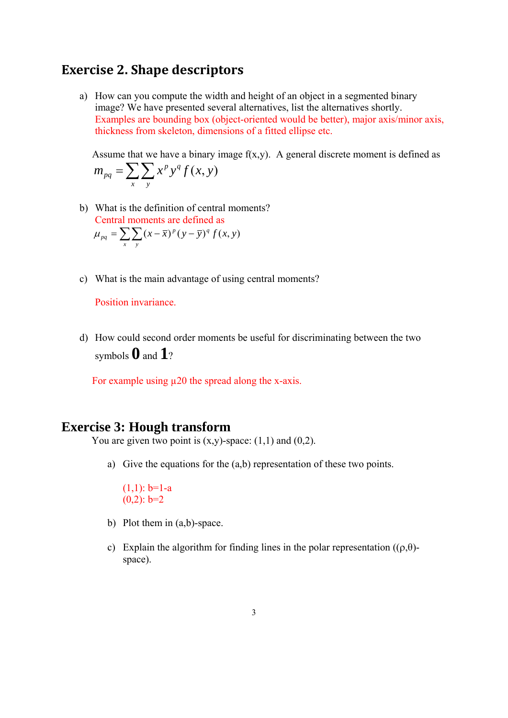## **Exercise 2. Shape descriptors**

a) How can you compute the width and height of an object in a segmented binary image? We have presented several alternatives, list the alternatives shortly. Examples are bounding box (object-oriented would be better), major axis/minor axis, thickness from skeleton, dimensions of a fitted ellipse etc.

Assume that we have a binary image  $f(x,y)$ . A general discrete moment is defined as  $=\sum\sum$ *x y*  $m_{pq} = \sum \sum x^p y^q f(x, y)$ 

- b) What is the definition of central moments? Central moments are defined as  $\mu_{pq} = \sum_{x} \sum_{y} (x - \bar{x})^p (y - \bar{y})^q f(x, y)$
- c) What is the main advantage of using central moments?

Position invariance.

d) How could second order moments be useful for discriminating between the two symbols **0** and **1**?

For example using  $\mu$ 20 the spread along the x-axis.

## **Exercise 3: Hough transform**

You are given two point is  $(x,y)$ -space:  $(1,1)$  and  $(0,2)$ .

a) Give the equations for the (a,b) representation of these two points.

 $(1,1)$ : b=1-a  $(0,2)$ :  $b=2$ 

- b) Plot them in (a,b)-space.
- c) Explain the algorithm for finding lines in the polar representation  $((\rho,\theta)-\theta)$ space).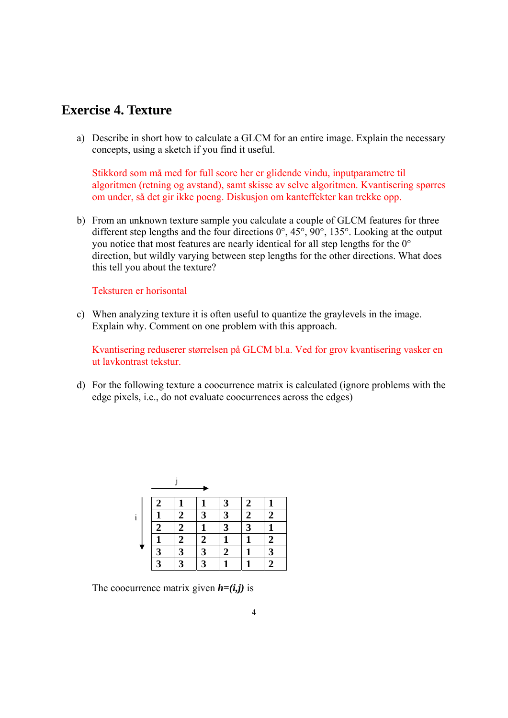# **Exercise 4. Texture**

a) Describe in short how to calculate a GLCM for an entire image. Explain the necessary concepts, using a sketch if you find it useful.

Stikkord som må med for full score her er glidende vindu, inputparametre til algoritmen (retning og avstand), samt skisse av selve algoritmen. Kvantisering spørres om under, så det gir ikke poeng. Diskusjon om kanteffekter kan trekke opp.

b) From an unknown texture sample you calculate a couple of GLCM features for three different step lengths and the four directions 0°, 45°, 90°, 135°. Looking at the output you notice that most features are nearly identical for all step lengths for the 0° direction, but wildly varying between step lengths for the other directions. What does this tell you about the texture?

#### Teksturen er horisontal

c) When analyzing texture it is often useful to quantize the graylevels in the image. Explain why. Comment on one problem with this approach.

Kvantisering reduserer størrelsen på GLCM bl.a. Ved for grov kvantisering vasker en ut lavkontrast tekstur.

d) For the following texture a coocurrence matrix is calculated (ignore problems with the edge pixels, i.e., do not evaluate coocurrences across the edges)

|   | 2                       |              |   | 3            | 2 |                |
|---|-------------------------|--------------|---|--------------|---|----------------|
| i |                         | 2            | 3 | 3            | 2 | $\overline{2}$ |
|   | 2                       | 2            |   | $\mathbf{3}$ | 3 |                |
|   |                         | 2            | 2 |              |   | $\mathbf 2$    |
|   | $\overline{\mathbf{z}}$ | $\mathbf{z}$ | 3 | 2            |   | $\mathbf{3}$   |
|   | 2                       | $\mathbf 3$  | 2 |              |   | 2              |

The coocurrence matrix given  $h=(i,j)$  is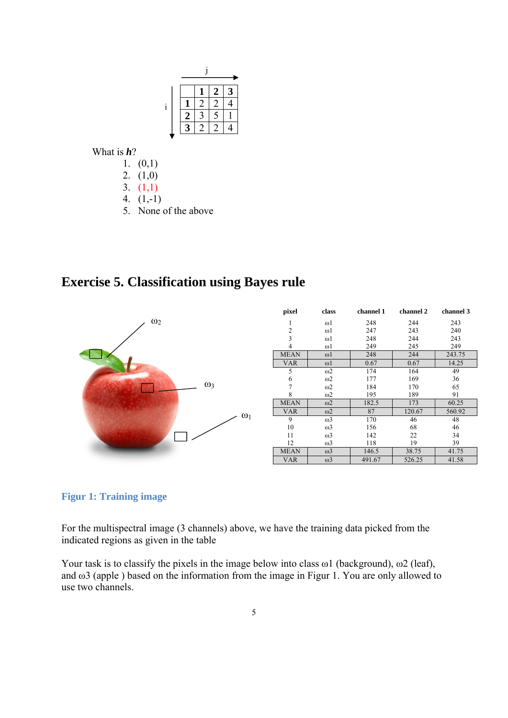|  |   |   | 2 |  |
|--|---|---|---|--|
|  |   | 2 | 2 |  |
|  | 2 |   | ς |  |
|  |   |   |   |  |
|  |   |   |   |  |

What is *h*?

- 1.  $(0,1)$
- 2. (1,0)
- 3. (1,1)
- 4. (1,-1)
- 5. None of the above

**Exercise 5. Classification using Bayes rule** 



### **Figur 1: Training image**

For the multispectral image (3 channels) above, we have the training data picked from the indicated regions as given in the table

Your task is to classify the pixels in the image below into class  $\omega$ 1 (background),  $\omega$ 2 (leaf), and ω3 (apple ) based on the information from the image in Figur 1. You are only allowed to use two channels.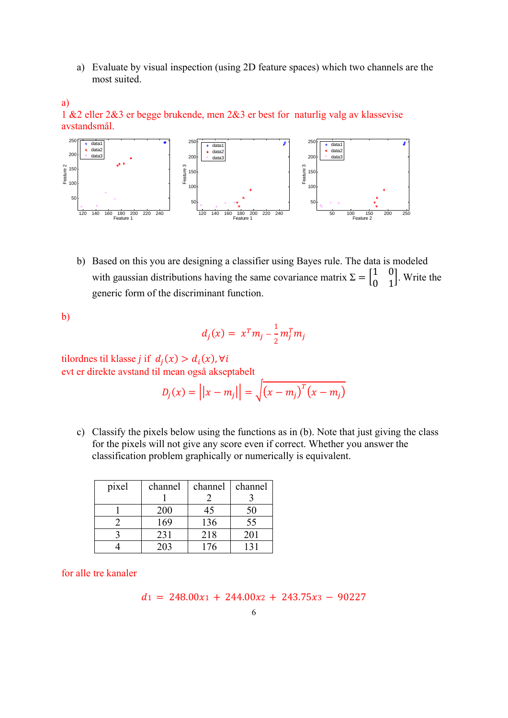a) Evaluate by visual inspection (using 2D feature spaces) which two channels are the most suited.

a) 1 &2 eller 2&3 er begge brukende, men 2&3 er best for naturlig valg av klassevise avstandsmål.



b) Based on this you are designing a classifier using Bayes rule. The data is modeled with gaussian distributions having the same covariance matrix  $\Sigma = \begin{bmatrix} 1 & 0 \\ 0 & 1 \end{bmatrix}$ . Write the generic form of the discriminant function.

b)

$$
d_j(x) = x^T m_j - \frac{1}{2} m_j^T m_j
$$

tilordnes til klasse *j* if  $d_i(x) > d_i(x)$ , ∀i evt er direkte avstand til mean også akseptabelt

$$
D_j(x) = ||x - m_j|| = \sqrt{(x - m_j)^T (x - m_j)}
$$

c) Classify the pixels below using the functions as in (b). Note that just giving the class for the pixels will not give any score even if correct. Whether you answer the classification problem graphically or numerically is equivalent.

| pixel | channel | channel | channel |
|-------|---------|---------|---------|
|       |         |         |         |
|       | 200     | 45      | 50      |
|       | 169     | 136     | 55      |
|       | 231     | 218     | 201     |
|       | 203     | 176     |         |

for alle tre kanaler

$$
d_1 = 248.00x_1 + 244.00x_2 + 243.75x_3 - 90227
$$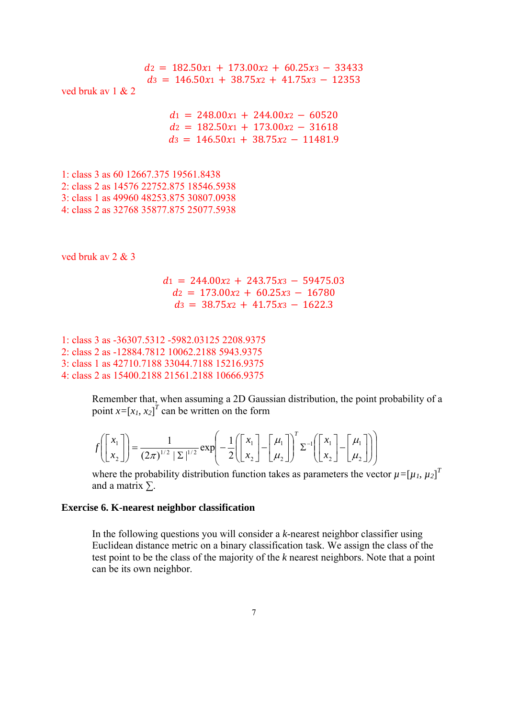$dz = 182.50x_1 + 173.00x_2 + 60.25x_3 - 33433$  $d_3 = 146.50x_1 + 38.75x_2 + 41.75x_3 - 12353$ ved bruk av  $1 & 2$  $d_1 = 248.00x_1 + 244.00x_2 - 60520$  $dz = 182.50x_1 + 173.00x_2 - 31618$  $d_3 = 146.50x_1 + 38.75x_2 - 11481.9$ 1: class 3 as 60 12667.375 19561.8438 2: class 2 as 14576 22752.875 18546.5938 3: class 1 as 49960 48253.875 30807.0938 4: class 2 as 32768 35877.875 25077.5938 ved bruk av 2 & 3  $d_1 = 244.00x_2 + 243.75x_3 - 59475.03$  $d2 = 173.00x_2 + 60.25x_3 - 16780$  $ds = 38.75x_2 + 41.75x_3 - 1622.3$ 

1: class 3 as -36307.5312 -5982.03125 2208.9375 2: class 2 as -12884.7812 10062.2188 5943.9375 3: class 1 as 42710.7188 33044.7188 15216.9375 4: class 2 as 15400.2188 21561.2188 10666.9375

> Remember that, when assuming a 2D Gaussian distribution, the point probability of a point  $x=[x_1, x_2]^T$  can be written on the form

$$
f\left(\begin{bmatrix} x_1 \\ x_2 \end{bmatrix}\right) = \frac{1}{(2\pi)^{1/2} |\Sigma|^{1/2}} \exp\left(-\frac{1}{2}\left(\begin{bmatrix} x_1 \\ x_2 \end{bmatrix} - \begin{bmatrix} \mu_1 \\ \mu_2 \end{bmatrix}\right)^T \Sigma^{-1}\left(\begin{bmatrix} x_1 \\ x_2 \end{bmatrix} - \begin{bmatrix} \mu_1 \\ \mu_2 \end{bmatrix}\right)\right)
$$

where the probability distribution function takes as parameters the vector  $\mu = [\mu_1, \mu_2]^T$ and a matrix  $\Sigma$ .

#### **Exercise 6. K-nearest neighbor classification**

In the following questions you will consider a *k*-nearest neighbor classifier using Euclidean distance metric on a binary classification task. We assign the class of the test point to be the class of the majority of the *k* nearest neighbors. Note that a point can be its own neighbor.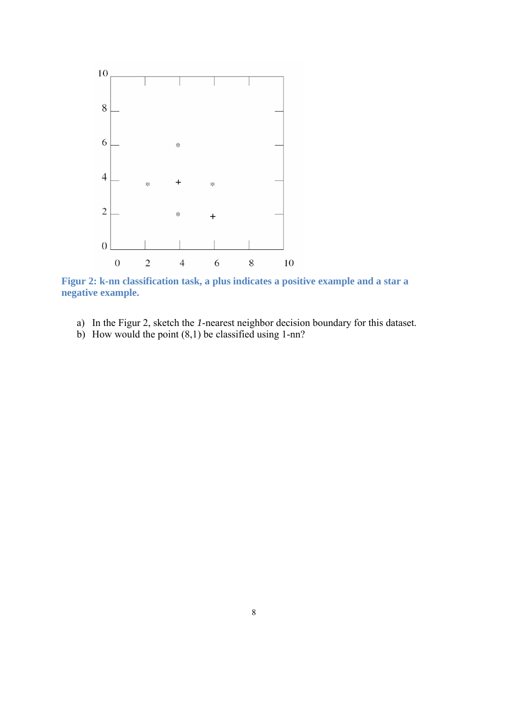

**Figur 2: k-nn classification task, a plus indicates a positive example and a star a negative example.** 

- a) In the Figur 2, sketch the *1*-nearest neighbor decision boundary for this dataset.
- b) How would the point  $(8,1)$  be classified using 1-nn?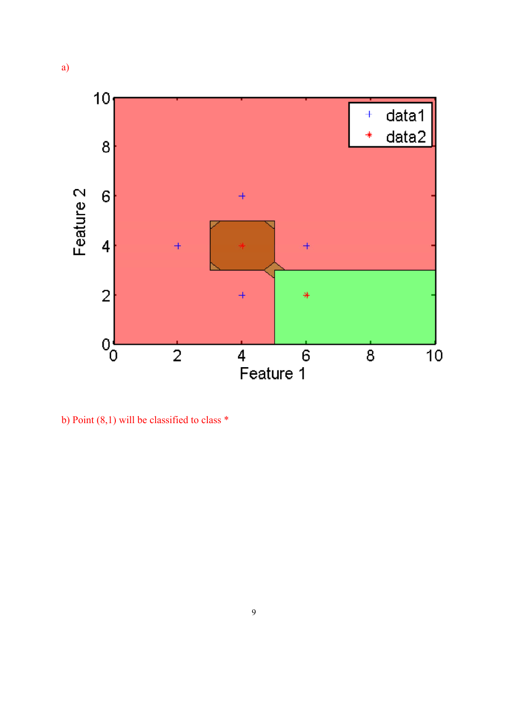

b) Point (8,1) will be classified to class \*